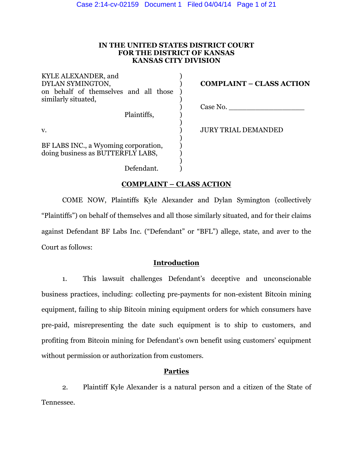### **IN THE UNITED STATES DISTRICT COURT FOR THE DISTRICT OF KANSAS KANSAS CITY DIVISION**

| KYLE ALEXANDER, and<br>DYLAN SYMINGTON,<br>on behalf of themselves and all those<br>similarly situated, | <b>COMPLAINT – CLASS ACTION</b> |
|---------------------------------------------------------------------------------------------------------|---------------------------------|
| Plaintiffs,                                                                                             | Case No.                        |
| v.                                                                                                      | <b>JURY TRIAL DEMANDED</b>      |
| BF LABS INC., a Wyoming corporation,<br>doing business as BUTTERFLY LABS,                               |                                 |
| Defendant.                                                                                              |                                 |

## **COMPLAINT – CLASS ACTION**

COME NOW, Plaintiffs Kyle Alexander and Dylan Symington (collectively "Plaintiffs") on behalf of themselves and all those similarly situated, and for their claims against Defendant BF Labs Inc. ("Defendant" or "BFL") allege, state, and aver to the Court as follows:

## **Introduction**

1. This lawsuit challenges Defendant's deceptive and unconscionable business practices, including: collecting pre-payments for non-existent Bitcoin mining equipment, failing to ship Bitcoin mining equipment orders for which consumers have pre-paid, misrepresenting the date such equipment is to ship to customers, and profiting from Bitcoin mining for Defendant's own benefit using customers' equipment without permission or authorization from customers.

## **Parties**

2. Plaintiff Kyle Alexander is a natural person and a citizen of the State of Tennessee.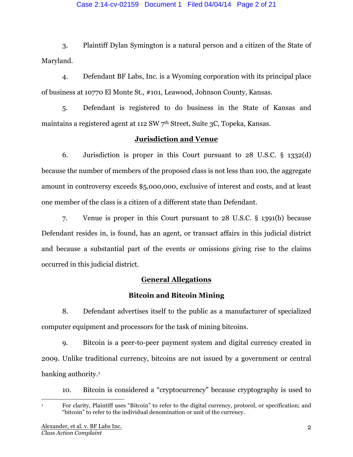### Case 2:14-cv-02159 Document 1 Filed 04/04/14 Page 2 of 21

3. Plaintiff Dylan Symington is a natural person and a citizen of the State of Maryland.

4. Defendant BF Labs, Inc. is a Wyoming corporation with its principal place of business at 10770 El Monte St., #101, Leawood, Johnson County, Kansas.

5. Defendant is registered to do business in the State of Kansas and maintains a registered agent at 112 SW  $7<sup>th</sup>$  Street, Suite 3C, Topeka, Kansas.

# **Jurisdiction and Venue**

6. Jurisdiction is proper in this Court pursuant to 28 U.S.C. § 1332(d) because the number of members of the proposed class is not less than 100, the aggregate amount in controversy exceeds \$5,000,000, exclusive of interest and costs, and at least one member of the class is a citizen of a different state than Defendant.

7. Venue is proper in this Court pursuant to 28 U.S.C. § 1391(b) because Defendant resides in, is found, has an agent, or transact affairs in this judicial district and because a substantial part of the events or omissions giving rise to the claims occurred in this judicial district.

# **General Allegations**

# **Bitcoin and Bitcoin Mining**

8. Defendant advertises itself to the public as a manufacturer of specialized computer equipment and processors for the task of mining bitcoins.

9. Bitcoin is a peer-to-peer payment system and digital currency created in 2009. Unlike traditional currency, bitcoins are not issued by a government or central banking authority.<sup>1</sup>

10. Bitcoin is considered a "cryptocurrency" because cryptography is used to

 <sup>1</sup> For clarity, Plaintiff uses "Bitcoin" to refer to the digital currency, protocol, or specification; and "bitcoin" to refer to the individual denomination or unit of the currency.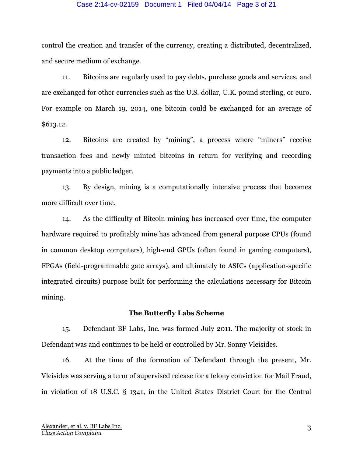#### Case 2:14-cv-02159 Document 1 Filed 04/04/14 Page 3 of 21

control the creation and transfer of the currency, creating a distributed, decentralized, and secure medium of exchange.

11. Bitcoins are regularly used to pay debts, purchase goods and services, and are exchanged for other currencies such as the U.S. dollar, U.K. pound sterling, or euro. For example on March 19, 2014, one bitcoin could be exchanged for an average of \$613.12.

12. Bitcoins are created by "mining", a process where "miners" receive transaction fees and newly minted bitcoins in return for verifying and recording payments into a public ledger.

13. By design, mining is a computationally intensive process that becomes more difficult over time.

14. As the difficulty of Bitcoin mining has increased over time, the computer hardware required to profitably mine has advanced from general purpose CPUs (found in common desktop computers), high-end GPUs (often found in gaming computers), FPGAs (field-programmable gate arrays), and ultimately to ASICs (application-specific integrated circuits) purpose built for performing the calculations necessary for Bitcoin mining.

### **The Butterfly Labs Scheme**

15. Defendant BF Labs, Inc. was formed July 2011. The majority of stock in Defendant was and continues to be held or controlled by Mr. Sonny Vleisides.

16. At the time of the formation of Defendant through the present, Mr. Vleisides was serving a term of supervised release for a felony conviction for Mail Fraud, in violation of 18 U.S.C. § 1341, in the United States District Court for the Central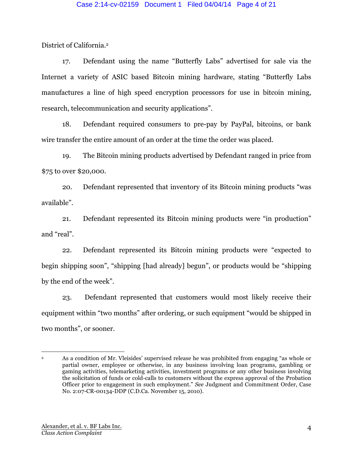District of California.2

17. Defendant using the name "Butterfly Labs" advertised for sale via the Internet a variety of ASIC based Bitcoin mining hardware, stating "Butterfly Labs manufactures a line of high speed encryption processors for use in bitcoin mining, research, telecommunication and security applications".

18. Defendant required consumers to pre-pay by PayPal, bitcoins, or bank wire transfer the entire amount of an order at the time the order was placed.

19. The Bitcoin mining products advertised by Defendant ranged in price from \$75 to over \$20,000.

20. Defendant represented that inventory of its Bitcoin mining products "was available".

21. Defendant represented its Bitcoin mining products were "in production" and "real".

22. Defendant represented its Bitcoin mining products were "expected to begin shipping soon", "shipping [had already] begun", or products would be "shipping by the end of the week".

23. Defendant represented that customers would most likely receive their equipment within "two months" after ordering, or such equipment "would be shipped in two months", or sooner.

 <sup>2</sup> As a condition of Mr. Vleisides' supervised release he was prohibited from engaging "as whole or partial owner, employee or otherwise, in any business involving loan programs, gambling or gaming activities, telemarketing activities, investment programs or any other business involving the solicitation of funds or cold-calls to customers without the express approval of the Probation Officer prior to engagement in such employment." *See* Judgment and Commitment Order, Case No. 2:07-CR-00134-DDP (C.D.Ca. November 15, 2010).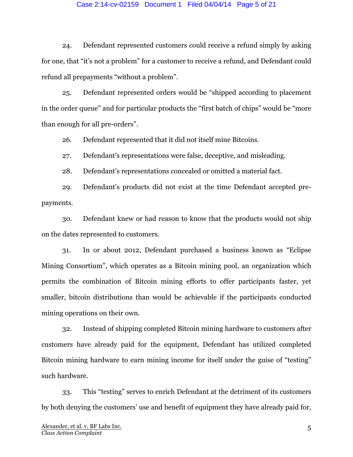#### Case 2:14-cv-02159 Document 1 Filed 04/04/14 Page 5 of 21

24. Defendant represented customers could receive a refund simply by asking for one, that "it's not a problem" for a customer to receive a refund, and Defendant could refund all prepayments "without a problem".

25. Defendant represented orders would be "shipped according to placement in the order queue" and for particular products the "first batch of chips" would be "more than enough for all pre-orders".

26. Defendant represented that it did not itself mine Bitcoins.

27. Defendant's representations were false, deceptive, and misleading.

28. Defendant's representations concealed or omitted a material fact.

29. Defendant's products did not exist at the time Defendant accepted prepayments.

30. Defendant knew or had reason to know that the products would not ship on the dates represented to customers.

31. In or about 2012, Defendant purchased a business known as "Eclipse Mining Consortium", which operates as a Bitcoin mining pool, an organization which permits the combination of Bitcoin mining efforts to offer participants faster, yet smaller, bitcoin distributions than would be achievable if the participants conducted mining operations on their own.

32. Instead of shipping completed Bitcoin mining hardware to customers after customers have already paid for the equipment, Defendant has utilized completed Bitcoin mining hardware to earn mining income for itself under the guise of "testing" such hardware.

33. This "testing" serves to enrich Defendant at the detriment of its customers by both denying the customers' use and benefit of equipment they have already paid for,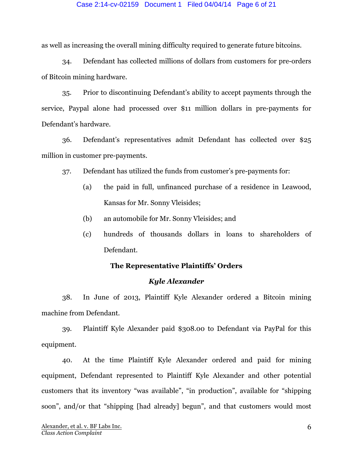#### Case 2:14-cv-02159 Document 1 Filed 04/04/14 Page 6 of 21

as well as increasing the overall mining difficulty required to generate future bitcoins.

34. Defendant has collected millions of dollars from customers for pre-orders of Bitcoin mining hardware.

35. Prior to discontinuing Defendant's ability to accept payments through the service, Paypal alone had processed over \$11 million dollars in pre-payments for Defendant's hardware.

36. Defendant's representatives admit Defendant has collected over \$25 million in customer pre-payments.

37. Defendant has utilized the funds from customer's pre-payments for:

- (a) the paid in full, unfinanced purchase of a residence in Leawood, Kansas for Mr. Sonny Vleisides;
- (b) an automobile for Mr. Sonny Vleisides; and
- (c) hundreds of thousands dollars in loans to shareholders of Defendant.

### **The Representative Plaintiffs' Orders**

### *Kyle Alexander*

38. In June of 2013, Plaintiff Kyle Alexander ordered a Bitcoin mining machine from Defendant.

39. Plaintiff Kyle Alexander paid \$308.00 to Defendant via PayPal for this equipment.

40. At the time Plaintiff Kyle Alexander ordered and paid for mining equipment, Defendant represented to Plaintiff Kyle Alexander and other potential customers that its inventory "was available", "in production", available for "shipping soon", and/or that "shipping [had already] begun", and that customers would most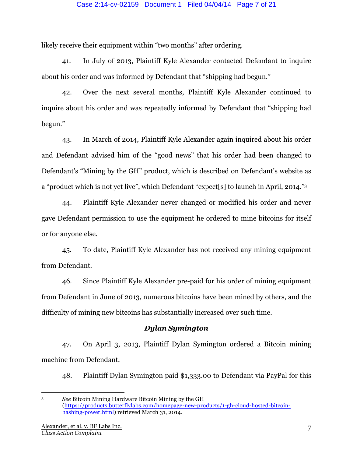### Case 2:14-cv-02159 Document 1 Filed 04/04/14 Page 7 of 21

likely receive their equipment within "two months" after ordering.

41. In July of 2013, Plaintiff Kyle Alexander contacted Defendant to inquire about his order and was informed by Defendant that "shipping had begun."

42. Over the next several months, Plaintiff Kyle Alexander continued to inquire about his order and was repeatedly informed by Defendant that "shipping had begun."

43. In March of 2014, Plaintiff Kyle Alexander again inquired about his order and Defendant advised him of the "good news" that his order had been changed to Defendant's "Mining by the GH" product, which is described on Defendant's website as a "product which is not yet live", which Defendant "expect[s] to launch in April, 2014."3

44. Plaintiff Kyle Alexander never changed or modified his order and never gave Defendant permission to use the equipment he ordered to mine bitcoins for itself or for anyone else.

45. To date, Plaintiff Kyle Alexander has not received any mining equipment from Defendant.

46. Since Plaintiff Kyle Alexander pre-paid for his order of mining equipment from Defendant in June of 2013, numerous bitcoins have been mined by others, and the difficulty of mining new bitcoins has substantially increased over such time.

### *Dylan Symington*

47. On April 3, 2013, Plaintiff Dylan Symington ordered a Bitcoin mining machine from Defendant.

48. Plaintiff Dylan Symington paid \$1,333.00 to Defendant via PayPal for this

<sup>3</sup> *See* Bitcoin Mining Hardware Bitcoin Mining by the GH (https://products.butterflylabs.com/homepage-new-products/1-gh-cloud-hosted-bitcoinhashing-power.html) retrieved March 31, 2014.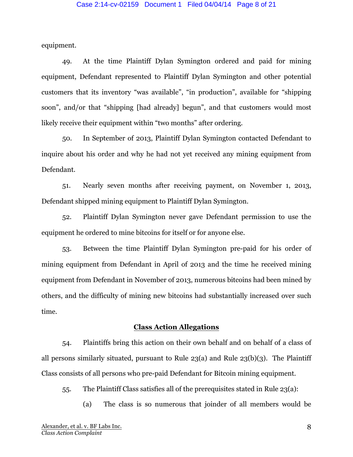#### Case 2:14-cv-02159 Document 1 Filed 04/04/14 Page 8 of 21

equipment.

49. At the time Plaintiff Dylan Symington ordered and paid for mining equipment, Defendant represented to Plaintiff Dylan Symington and other potential customers that its inventory "was available", "in production", available for "shipping soon", and/or that "shipping [had already] begun", and that customers would most likely receive their equipment within "two months" after ordering.

50. In September of 2013, Plaintiff Dylan Symington contacted Defendant to inquire about his order and why he had not yet received any mining equipment from Defendant.

51. Nearly seven months after receiving payment, on November 1, 2013, Defendant shipped mining equipment to Plaintiff Dylan Symington.

52. Plaintiff Dylan Symington never gave Defendant permission to use the equipment he ordered to mine bitcoins for itself or for anyone else.

53. Between the time Plaintiff Dylan Symington pre-paid for his order of mining equipment from Defendant in April of 2013 and the time he received mining equipment from Defendant in November of 2013, numerous bitcoins had been mined by others, and the difficulty of mining new bitcoins had substantially increased over such time.

### **Class Action Allegations**

54. Plaintiffs bring this action on their own behalf and on behalf of a class of all persons similarly situated, pursuant to Rule 23(a) and Rule 23(b)(3). The Plaintiff Class consists of all persons who pre-paid Defendant for Bitcoin mining equipment.

55. The Plaintiff Class satisfies all of the prerequisites stated in Rule 23(a):

(a) The class is so numerous that joinder of all members would be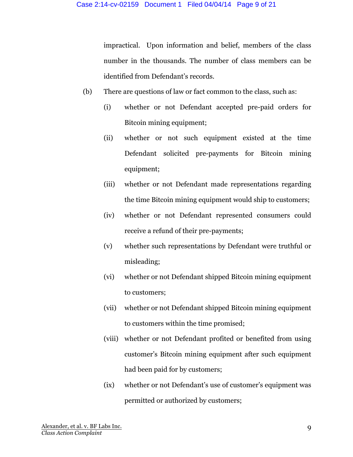impractical. Upon information and belief, members of the class number in the thousands. The number of class members can be identified from Defendant's records.

- (b) There are questions of law or fact common to the class, such as:
	- (i) whether or not Defendant accepted pre-paid orders for Bitcoin mining equipment;
	- (ii) whether or not such equipment existed at the time Defendant solicited pre-payments for Bitcoin mining equipment;
	- (iii) whether or not Defendant made representations regarding the time Bitcoin mining equipment would ship to customers;
	- (iv) whether or not Defendant represented consumers could receive a refund of their pre-payments;
	- (v) whether such representations by Defendant were truthful or misleading;
	- (vi) whether or not Defendant shipped Bitcoin mining equipment to customers;
	- (vii) whether or not Defendant shipped Bitcoin mining equipment to customers within the time promised;
	- (viii) whether or not Defendant profited or benefited from using customer's Bitcoin mining equipment after such equipment had been paid for by customers;
	- (ix) whether or not Defendant's use of customer's equipment was permitted or authorized by customers;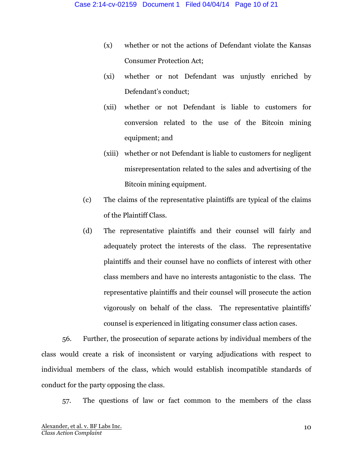- (x) whether or not the actions of Defendant violate the Kansas Consumer Protection Act;
- (xi) whether or not Defendant was unjustly enriched by Defendant's conduct;
- (xii) whether or not Defendant is liable to customers for conversion related to the use of the Bitcoin mining equipment; and
- (xiii) whether or not Defendant is liable to customers for negligent misrepresentation related to the sales and advertising of the Bitcoin mining equipment.
- (c) The claims of the representative plaintiffs are typical of the claims of the Plaintiff Class.
- (d) The representative plaintiffs and their counsel will fairly and adequately protect the interests of the class. The representative plaintiffs and their counsel have no conflicts of interest with other class members and have no interests antagonistic to the class. The representative plaintiffs and their counsel will prosecute the action vigorously on behalf of the class. The representative plaintiffs' counsel is experienced in litigating consumer class action cases.

56. Further, the prosecution of separate actions by individual members of the class would create a risk of inconsistent or varying adjudications with respect to individual members of the class, which would establish incompatible standards of conduct for the party opposing the class.

57. The questions of law or fact common to the members of the class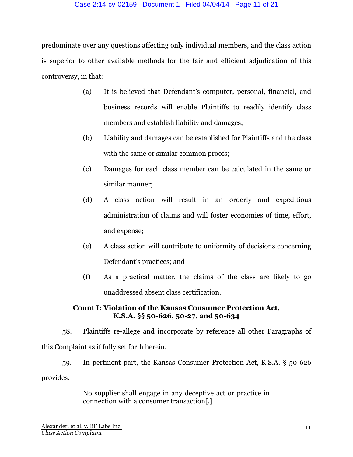### Case 2:14-cv-02159 Document 1 Filed 04/04/14 Page 11 of 21

predominate over any questions affecting only individual members, and the class action is superior to other available methods for the fair and efficient adjudication of this controversy, in that:

- (a) It is believed that Defendant's computer, personal, financial, and business records will enable Plaintiffs to readily identify class members and establish liability and damages;
- (b) Liability and damages can be established for Plaintiffs and the class with the same or similar common proofs;
- (c) Damages for each class member can be calculated in the same or similar manner;
- (d) A class action will result in an orderly and expeditious administration of claims and will foster economies of time, effort, and expense;
- (e) A class action will contribute to uniformity of decisions concerning Defendant's practices; and
- (f) As a practical matter, the claims of the class are likely to go unaddressed absent class certification.

# **Count I: Violation of the Kansas Consumer Protection Act, K.S.A. §§ 50-626, 50-27, and 50-634**

58. Plaintiffs re-allege and incorporate by reference all other Paragraphs of this Complaint as if fully set forth herein.

59. In pertinent part, the Kansas Consumer Protection Act, K.S.A. § 50-626 provides:

> No supplier shall engage in any deceptive act or practice in connection with a consumer transaction[.]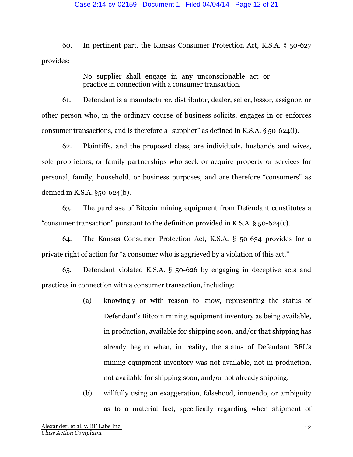#### Case 2:14-cv-02159 Document 1 Filed 04/04/14 Page 12 of 21

60. In pertinent part, the Kansas Consumer Protection Act, K.S.A. § 50-627 provides:

> No supplier shall engage in any unconscionable act or practice in connection with a consumer transaction.

61. Defendant is a manufacturer, distributor, dealer, seller, lessor, assignor, or other person who, in the ordinary course of business solicits, engages in or enforces consumer transactions, and is therefore a "supplier" as defined in K.S.A. § 50-624(l).

62. Plaintiffs, and the proposed class, are individuals, husbands and wives, sole proprietors, or family partnerships who seek or acquire property or services for personal, family, household, or business purposes, and are therefore "consumers" as defined in K.S.A. §50-624(b).

63. The purchase of Bitcoin mining equipment from Defendant constitutes a "consumer transaction" pursuant to the definition provided in K.S.A. § 50-624(c).

64. The Kansas Consumer Protection Act, K.S.A. § 50-634 provides for a private right of action for "a consumer who is aggrieved by a violation of this act."

65. Defendant violated K.S.A. § 50-626 by engaging in deceptive acts and practices in connection with a consumer transaction, including:

> (a) knowingly or with reason to know, representing the status of Defendant's Bitcoin mining equipment inventory as being available, in production, available for shipping soon, and/or that shipping has already begun when, in reality, the status of Defendant BFL's mining equipment inventory was not available, not in production, not available for shipping soon, and/or not already shipping;

> (b) willfully using an exaggeration, falsehood, innuendo, or ambiguity as to a material fact, specifically regarding when shipment of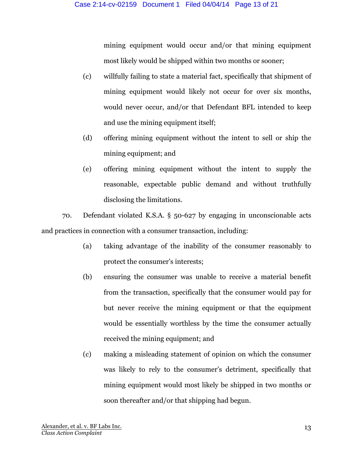mining equipment would occur and/or that mining equipment most likely would be shipped within two months or sooner;

- (c) willfully failing to state a material fact, specifically that shipment of mining equipment would likely not occur for over six months, would never occur, and/or that Defendant BFL intended to keep and use the mining equipment itself;
- (d) offering mining equipment without the intent to sell or ship the mining equipment; and
- (e) offering mining equipment without the intent to supply the reasonable, expectable public demand and without truthfully disclosing the limitations.

70. Defendant violated K.S.A. § 50-627 by engaging in unconscionable acts and practices in connection with a consumer transaction, including:

- (a) taking advantage of the inability of the consumer reasonably to protect the consumer's interests;
- (b) ensuring the consumer was unable to receive a material benefit from the transaction, specifically that the consumer would pay for but never receive the mining equipment or that the equipment would be essentially worthless by the time the consumer actually received the mining equipment; and
- (c) making a misleading statement of opinion on which the consumer was likely to rely to the consumer's detriment, specifically that mining equipment would most likely be shipped in two months or soon thereafter and/or that shipping had begun.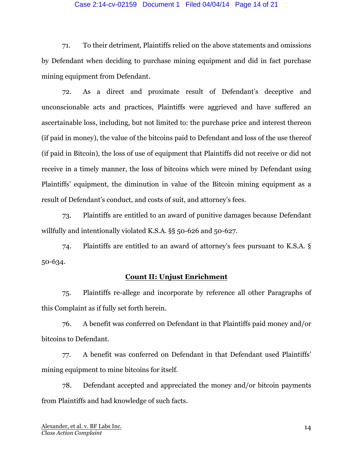### Case 2:14-cv-02159 Document 1 Filed 04/04/14 Page 14 of 21

71. To their detriment, Plaintiffs relied on the above statements and omissions by Defendant when deciding to purchase mining equipment and did in fact purchase mining equipment from Defendant.

72. As a direct and proximate result of Defendant's deceptive and unconscionable acts and practices, Plaintiffs were aggrieved and have suffered an ascertainable loss, including, but not limited to: the purchase price and interest thereon (if paid in money), the value of the bitcoins paid to Defendant and loss of the use thereof (if paid in Bitcoin), the loss of use of equipment that Plaintiffs did not receive or did not receive in a timely manner, the loss of bitcoins which were mined by Defendant using Plaintiffs' equipment, the diminution in value of the Bitcoin mining equipment as a result of Defendant's conduct, and costs of suit, and attorney's fees.

73. Plaintiffs are entitled to an award of punitive damages because Defendant willfully and intentionally violated K.S.A. §§ 50-626 and 50-627.

74. Plaintiffs are entitled to an award of attorney's fees pursuant to K.S.A. § 50-634.

### **Count II: Unjust Enrichment**

75. Plaintiffs re-allege and incorporate by reference all other Paragraphs of this Complaint as if fully set forth herein.

76. A benefit was conferred on Defendant in that Plaintiffs paid money and/or bitcoins to Defendant.

77. A benefit was conferred on Defendant in that Defendant used Plaintiffs' mining equipment to mine bitcoins for itself.

78. Defendant accepted and appreciated the money and/or bitcoin payments from Plaintiffs and had knowledge of such facts.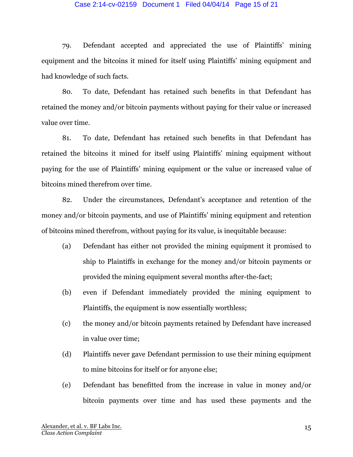### Case 2:14-cv-02159 Document 1 Filed 04/04/14 Page 15 of 21

79. Defendant accepted and appreciated the use of Plaintiffs' mining equipment and the bitcoins it mined for itself using Plaintiffs' mining equipment and had knowledge of such facts.

80. To date, Defendant has retained such benefits in that Defendant has retained the money and/or bitcoin payments without paying for their value or increased value over time.

81. To date, Defendant has retained such benefits in that Defendant has retained the bitcoins it mined for itself using Plaintiffs' mining equipment without paying for the use of Plaintiffs' mining equipment or the value or increased value of bitcoins mined therefrom over time.

82. Under the circumstances, Defendant's acceptance and retention of the money and/or bitcoin payments, and use of Plaintiffs' mining equipment and retention of bitcoins mined therefrom, without paying for its value, is inequitable because:

- (a) Defendant has either not provided the mining equipment it promised to ship to Plaintiffs in exchange for the money and/or bitcoin payments or provided the mining equipment several months after-the-fact;
- (b) even if Defendant immediately provided the mining equipment to Plaintiffs, the equipment is now essentially worthless;
- (c) the money and/or bitcoin payments retained by Defendant have increased in value over time;
- (d) Plaintiffs never gave Defendant permission to use their mining equipment to mine bitcoins for itself or for anyone else;
- (e) Defendant has benefitted from the increase in value in money and/or bitcoin payments over time and has used these payments and the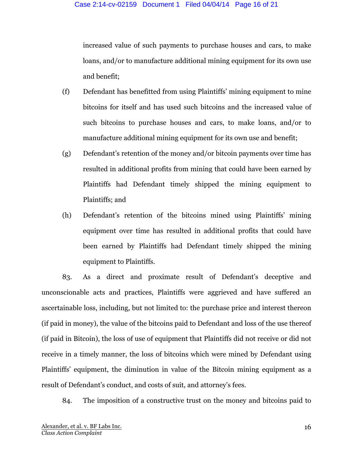increased value of such payments to purchase houses and cars, to make loans, and/or to manufacture additional mining equipment for its own use and benefit;

- (f) Defendant has benefitted from using Plaintiffs' mining equipment to mine bitcoins for itself and has used such bitcoins and the increased value of such bitcoins to purchase houses and cars, to make loans, and/or to manufacture additional mining equipment for its own use and benefit;
- (g) Defendant's retention of the money and/or bitcoin payments over time has resulted in additional profits from mining that could have been earned by Plaintiffs had Defendant timely shipped the mining equipment to Plaintiffs; and
- (h) Defendant's retention of the bitcoins mined using Plaintiffs' mining equipment over time has resulted in additional profits that could have been earned by Plaintiffs had Defendant timely shipped the mining equipment to Plaintiffs.

83. As a direct and proximate result of Defendant's deceptive and unconscionable acts and practices, Plaintiffs were aggrieved and have suffered an ascertainable loss, including, but not limited to: the purchase price and interest thereon (if paid in money), the value of the bitcoins paid to Defendant and loss of the use thereof (if paid in Bitcoin), the loss of use of equipment that Plaintiffs did not receive or did not receive in a timely manner, the loss of bitcoins which were mined by Defendant using Plaintiffs' equipment, the diminution in value of the Bitcoin mining equipment as a result of Defendant's conduct, and costs of suit, and attorney's fees.

84. The imposition of a constructive trust on the money and bitcoins paid to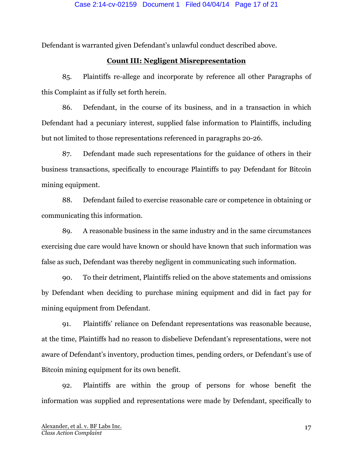Defendant is warranted given Defendant's unlawful conduct described above.

# **Count III: Negligent Misrepresentation**

85. Plaintiffs re-allege and incorporate by reference all other Paragraphs of this Complaint as if fully set forth herein.

86. Defendant, in the course of its business, and in a transaction in which Defendant had a pecuniary interest, supplied false information to Plaintiffs, including but not limited to those representations referenced in paragraphs 20-26.

87. Defendant made such representations for the guidance of others in their business transactions, specifically to encourage Plaintiffs to pay Defendant for Bitcoin mining equipment.

88. Defendant failed to exercise reasonable care or competence in obtaining or communicating this information.

89. A reasonable business in the same industry and in the same circumstances exercising due care would have known or should have known that such information was false as such, Defendant was thereby negligent in communicating such information.

90. To their detriment, Plaintiffs relied on the above statements and omissions by Defendant when deciding to purchase mining equipment and did in fact pay for mining equipment from Defendant.

91. Plaintiffs' reliance on Defendant representations was reasonable because, at the time, Plaintiffs had no reason to disbelieve Defendant's representations, were not aware of Defendant's inventory, production times, pending orders, or Defendant's use of Bitcoin mining equipment for its own benefit.

92. Plaintiffs are within the group of persons for whose benefit the information was supplied and representations were made by Defendant, specifically to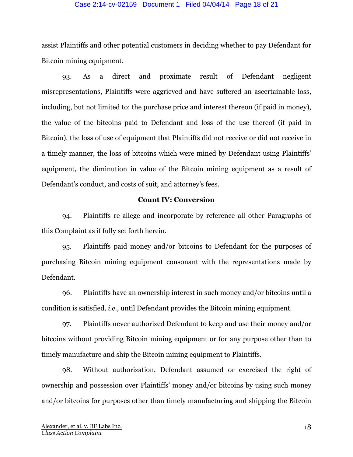#### Case 2:14-cv-02159 Document 1 Filed 04/04/14 Page 18 of 21

assist Plaintiffs and other potential customers in deciding whether to pay Defendant for Bitcoin mining equipment.

93. As a direct and proximate result of Defendant negligent misrepresentations, Plaintiffs were aggrieved and have suffered an ascertainable loss, including, but not limited to: the purchase price and interest thereon (if paid in money), the value of the bitcoins paid to Defendant and loss of the use thereof (if paid in Bitcoin), the loss of use of equipment that Plaintiffs did not receive or did not receive in a timely manner, the loss of bitcoins which were mined by Defendant using Plaintiffs' equipment, the diminution in value of the Bitcoin mining equipment as a result of Defendant's conduct, and costs of suit, and attorney's fees.

### **Count IV: Conversion**

94. Plaintiffs re-allege and incorporate by reference all other Paragraphs of this Complaint as if fully set forth herein.

95. Plaintiffs paid money and/or bitcoins to Defendant for the purposes of purchasing Bitcoin mining equipment consonant with the representations made by Defendant.

96. Plaintiffs have an ownership interest in such money and/or bitcoins until a condition is satisfied, *i.e.*, until Defendant provides the Bitcoin mining equipment.

97. Plaintiffs never authorized Defendant to keep and use their money and/or bitcoins without providing Bitcoin mining equipment or for any purpose other than to timely manufacture and ship the Bitcoin mining equipment to Plaintiffs.

98. Without authorization, Defendant assumed or exercised the right of ownership and possession over Plaintiffs' money and/or bitcoins by using such money and/or bitcoins for purposes other than timely manufacturing and shipping the Bitcoin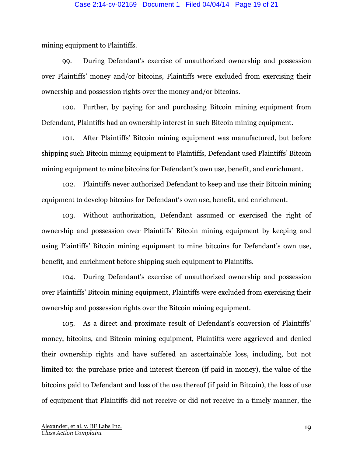#### Case 2:14-cv-02159 Document 1 Filed 04/04/14 Page 19 of 21

mining equipment to Plaintiffs.

99. During Defendant's exercise of unauthorized ownership and possession over Plaintiffs' money and/or bitcoins, Plaintiffs were excluded from exercising their ownership and possession rights over the money and/or bitcoins.

100. Further, by paying for and purchasing Bitcoin mining equipment from Defendant, Plaintiffs had an ownership interest in such Bitcoin mining equipment.

101. After Plaintiffs' Bitcoin mining equipment was manufactured, but before shipping such Bitcoin mining equipment to Plaintiffs, Defendant used Plaintiffs' Bitcoin mining equipment to mine bitcoins for Defendant's own use, benefit, and enrichment.

102. Plaintiffs never authorized Defendant to keep and use their Bitcoin mining equipment to develop bitcoins for Defendant's own use, benefit, and enrichment.

103. Without authorization, Defendant assumed or exercised the right of ownership and possession over Plaintiffs' Bitcoin mining equipment by keeping and using Plaintiffs' Bitcoin mining equipment to mine bitcoins for Defendant's own use, benefit, and enrichment before shipping such equipment to Plaintiffs.

104. During Defendant's exercise of unauthorized ownership and possession over Plaintiffs' Bitcoin mining equipment, Plaintiffs were excluded from exercising their ownership and possession rights over the Bitcoin mining equipment.

105. As a direct and proximate result of Defendant's conversion of Plaintiffs' money, bitcoins, and Bitcoin mining equipment, Plaintiffs were aggrieved and denied their ownership rights and have suffered an ascertainable loss, including, but not limited to: the purchase price and interest thereon (if paid in money), the value of the bitcoins paid to Defendant and loss of the use thereof (if paid in Bitcoin), the loss of use of equipment that Plaintiffs did not receive or did not receive in a timely manner, the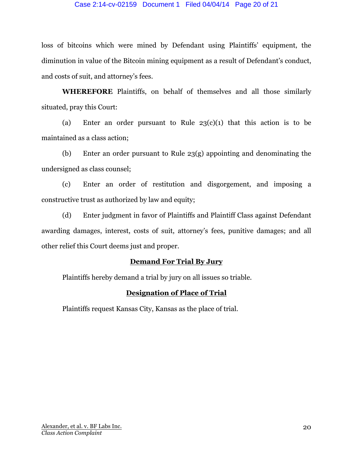### Case 2:14-cv-02159 Document 1 Filed 04/04/14 Page 20 of 21

loss of bitcoins which were mined by Defendant using Plaintiffs' equipment, the diminution in value of the Bitcoin mining equipment as a result of Defendant's conduct, and costs of suit, and attorney's fees.

**WHEREFORE** Plaintiffs, on behalf of themselves and all those similarly situated, pray this Court:

(a) Enter an order pursuant to Rule  $23(c)(1)$  that this action is to be maintained as a class action;

(b) Enter an order pursuant to Rule 23(g) appointing and denominating the undersigned as class counsel;

(c) Enter an order of restitution and disgorgement, and imposing a constructive trust as authorized by law and equity;

(d) Enter judgment in favor of Plaintiffs and Plaintiff Class against Defendant awarding damages, interest, costs of suit, attorney's fees, punitive damages; and all other relief this Court deems just and proper.

## **Demand For Trial By Jury**

Plaintiffs hereby demand a trial by jury on all issues so triable.

# **Designation of Place of Trial**

Plaintiffs request Kansas City, Kansas as the place of trial.